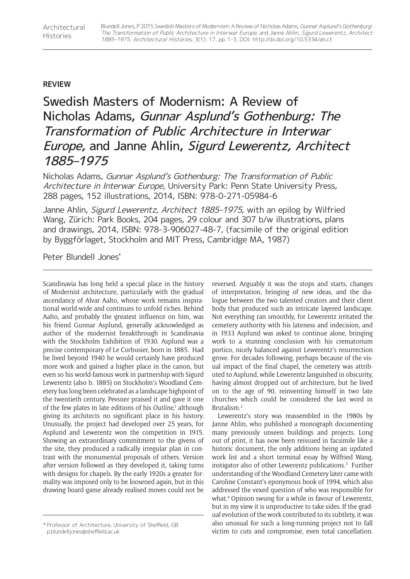## **REVIEW**

## Swedish Masters of Modernism: A Review of Nicholas Adams, Gunnar Asplund's Gothenburg: The Transformation of Public Architecture in Interwar Europe, and Janne Ahlin, Sigurd Lewerentz, Architect 1885–1975

Nicholas Adams, Gunnar Asplund's Gothenburg: The Transformation of Public Architecture in Interwar Europe, University Park: Penn State University Press, 288 pages, 152 illustrations, 2014, ISBN: 978-0-271-05984-6

Janne Ahlin, Sigurd Lewerentz, Architect 1885-1975, with an epilog by Wilfried Wang, Zürich: Park Books, 204 pages, 29 colour and 307 b/w illustrations, plans and drawings, 2014, ISBN: 978-3-906027-48-7, (facsimile of the original edition by Byggförlaget, Stockholm and MIT Press, Cambridge MA, 1987)

Peter Blundell Jones\*

Scandinavia has long held a special place in the history of Modernist architecture, particularly with the gradual ascendancy of Alvar Aalto, whose work remains inspirational world-wide and continues to unfold riches. Behind Aalto, and probably the greatest influence on him, was his friend Gunnar Asplund, generally acknowledged as author of the modernist breakthrough in Scandinavia with the Stockholm Exhibition of 1930. Asplund was a precise contemporary of Le Corbusier, born in 1885. Had he lived beyond 1940 he would certainly have produced more work and gained a higher place in the canon, but even so his world-famous work in partnership with Sigurd Lewerentz (also b. 1885) on Stockholm's Woodland Cemetery has long been celebrated as a landscape highpoint of the twentieth century. Pevsner praised it and gave it one of the few plates in late editions of his *Outline*,<sup>1</sup> although giving its architects no significant place in his history. Unusually, the project had developed over 25 years, for Asplund and Lewerentz won the competition in 1915. Showing an extraordinary commitment to the givens of the site, they produced a radically irregular plan in contrast with the monumental proposals of others. Version after version followed as they developed it, taking turns with designs for chapels. By the early 1920s a greater formality was imposed only to be loosened again, but in this drawing board game already realised moves could not be reversed. Arguably it was the stops and starts, changes of interpretation, bringing of new ideas, and the dialogue between the two talented creators and their client body that produced such an intricate layered landscape. Not everything ran smoothly, for Lewerentz irritated the cemetery authority with his lateness and indecision, and in 1933 Asplund was asked to continue alone, bringing work to a stunning conclusion with his crematorium portico, nicely balanced against Lewerentz's resurrection grove. For decades following, perhaps because of the visual impact of the final chapel, the cemetery was attributed to Asplund, while Lewerentz languished in obscurity, having almost dropped out of architecture, but he lived on to the age of 90, reinventing himself in two late churches which could be considered the last word in Brutalism.2

Lewerentz's story was reassembled in the 1980s by Janne Ahlin, who published a monograph documenting many previously unseen buildings and projects. Long out of print, it has now been reissued in facsimile like a historic document, the only additions being an updated work list and a short terminal essay by Wilfried Wang, instigator also of other Lewerentz publications.3 Further understanding of the Woodland Cemetery later came with Caroline Constant's eponymous book of 1994, which also addressed the vexed question of who was responsible for what.4 Opinion swung for a while in favour of Lewerentz, but in my view it is unproductive to take sides. If the gradual evolution of the work contributed to its subtlety, it was also unusual for such a long-running project not to fall victim to cuts and compromise, even total cancellation.

<sup>\*</sup> Professor of Architecture, University of Sheffield, GB [p.blundelljones@sheffield.ac.uk](mailto:p.blundelljones@sheffield.ac.uk)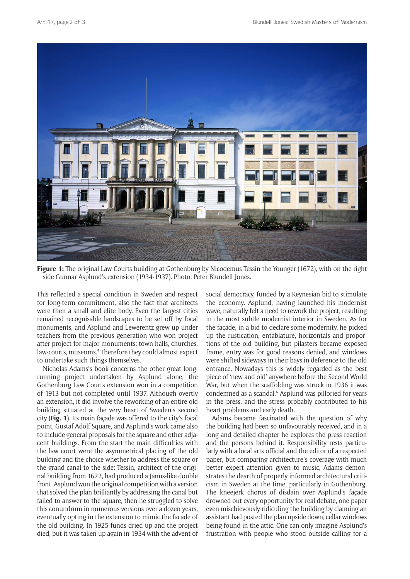

**Figure 1:** The original Law Courts building at Gothenburg by Nicodemus Tessin the Younger (1672), with on the right side Gunnar Asplund's extension (1934-1937). Photo: Peter Blundell Jones.

This reflected a special condition in Sweden and respect for long-term commitment, also the fact that architects were then a small and elite body. Even the largest cities remained recognisable landscapes to be set off by focal monuments, and Asplund and Lewerentz grew up under teachers from the previous generation who won project after project for major monuments: town halls, churches, law-courts, museums.<sup>5</sup> Therefore they could almost expect to undertake such things themselves.

Nicholas Adams's book concerns the other great longrunning project undertaken by Asplund alone, the Gothenburg Law Courts extension won in a competition of 1913 but not completed until 1937. Although overtly an extension, it did involve the reworking of an entire old building situated at the very heart of Sweden's second city (**Fig. 1**). Its main façade was offered to the city's focal point, Gustaf Adolf Square, and Asplund's work came also to include general proposals for the square and other adjacent buildings. From the start the main difficulties with the law court were the asymmetrical placing of the old building and the choice whether to address the square or the grand canal to the side: Tessin, architect of the original building from 1672, had produced a Janus-like double front. Asplund won the original competition with a version that solved the plan brilliantly by addressing the canal but failed to answer to the square, then he struggled to solve this conundrum in numerous versions over a dozen years, eventually opting in the extension to mimic the facade of the old building. In 1925 funds dried up and the project died, but it was taken up again in 1934 with the advent of

social democracy, funded by a Keynesian bid to stimulate the economy. Asplund, having launched his modernist wave, naturally felt a need to rework the project, resulting in the most subtle modernist interior in Sweden. As for the façade, in a bid to declare some modernity, he picked up the rustication, entablature, horizontals and proportions of the old building, but pilasters became exposed frame, entry was for good reasons denied, and windows were shifted sideways in their bays in deference to the old entrance. Nowadays this is widely regarded as the best piece of 'new and old' anywhere before the Second World War, but when the scaffolding was struck in 1936 it was condemned as a scandal.<sup>6</sup> Asplund was pilloried for years in the press, and the stress probably contributed to his heart problems and early death.

Adams became fascinated with the question of why the building had been so unfavourably received, and in a long and detailed chapter he explores the press reaction and the persons behind it. Responsibility rests particularly with a local arts official and the editor of a respected paper, but comparing architecture's coverage with much better expert attention given to music, Adams demonstrates the dearth of properly informed architectural criticism in Sweden at the time, particularly in Gothenburg. The kneejerk chorus of disdain over Asplund's façade drowned out every opportunity for real debate, one paper even mischievously ridiculing the building by claiming an assistant had posted the plan upside down, cellar windows being found in the attic. One can only imagine Asplund's frustration with people who stood outside calling for a